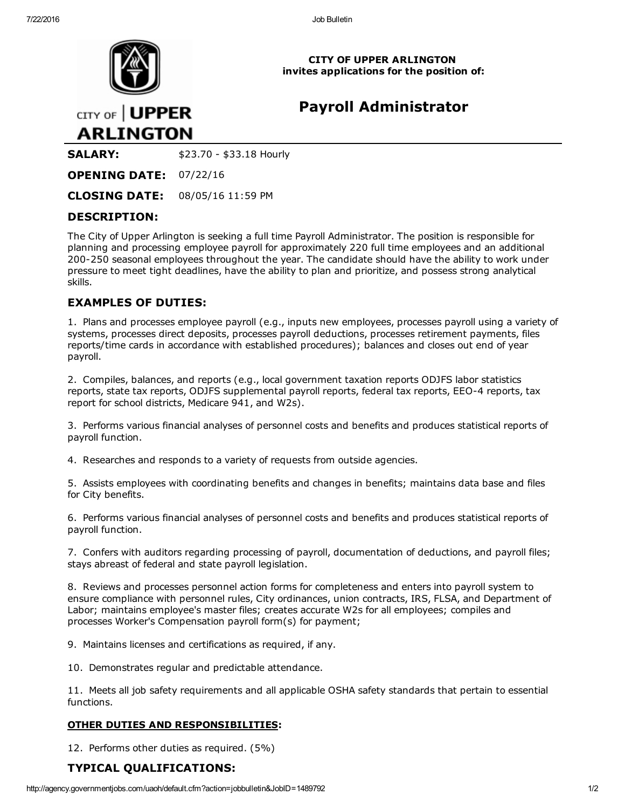

CITY OF UPPER ARLINGTON invites applications for the position of:

# Payroll Administrator

CITY OF | UPPER **ARLINGTON** 

**SALARY:** \$23.70 - \$33.18 Hourly

OPENING DATE: 07/22/16

CLOSING DATE: 08/05/16 11:59 PM

### DESCRIPTION:

The City of Upper Arlington is seeking a full time Payroll Administrator. The position is responsible for planning and processing employee payroll for approximately 220 full time employees and an additional 200-250 seasonal employees throughout the year. The candidate should have the ability to work under pressure to meet tight deadlines, have the ability to plan and prioritize, and possess strong analytical skills.

### EXAMPLES OF DUTIES:

1. Plans and processes employee payroll (e.g., inputs new employees, processes payroll using a variety of systems, processes direct deposits, processes payroll deductions, processes retirement payments, files reports/time cards in accordance with established procedures); balances and closes out end of year payroll.

2. Compiles, balances, and reports (e.g., local government taxation reports ODJFS labor statistics reports, state tax reports, ODJFS supplemental payroll reports, federal tax reports, EEO-4 reports, tax report for school districts, Medicare 941, and W2s).

3. Performs various financial analyses of personnel costs and benefits and produces statistical reports of payroll function.

4. Researches and responds to a variety of requests from outside agencies.

5. Assists employees with coordinating benefits and changes in benefits; maintains data base and files for City benefits.

6. Performs various financial analyses of personnel costs and benefits and produces statistical reports of payroll function.

7. Confers with auditors regarding processing of payroll, documentation of deductions, and payroll files; stays abreast of federal and state payroll legislation.

8. Reviews and processes personnel action forms for completeness and enters into payroll system to ensure compliance with personnel rules, City ordinances, union contracts, IRS, FLSA, and Department of Labor; maintains employee's master files; creates accurate W2s for all employees; compiles and processes Worker's Compensation payroll form(s) for payment;

9. Maintains licenses and certifications as required, if any.

10. Demonstrates regular and predictable attendance.

11. Meets all job safety requirements and all applicable OSHA safety standards that pertain to essential functions.

### OTHER DUTIES AND RESPONSIBILITIES:

12. Performs other duties as required. (5%)

## TYPICAL QUALIFICATIONS: